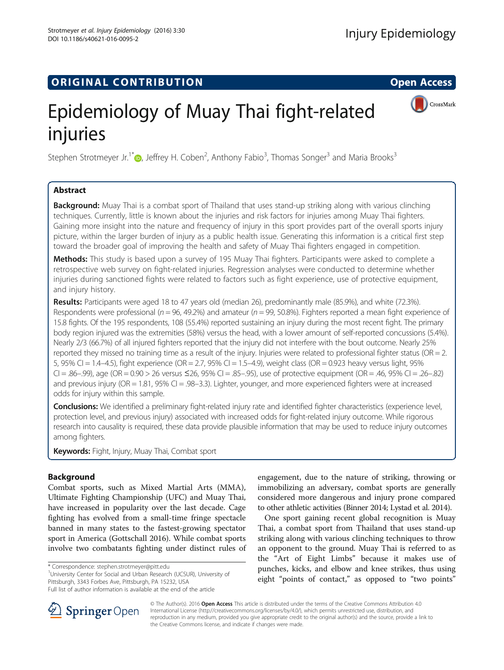# **ORIGINAL CONTRIBUTION CONTRIBUTION**



# Epidemiology of Muay Thai fight-related injuries

Stephen Strotmeyer Jr.<sup>1\*</sup> $\bullet$ [,](http://orcid.org/0000-0003-1956-0537) Jeffrey H. Coben<sup>2</sup>, Anthony Fabio<sup>3</sup>, Thomas Songer<sup>3</sup> and Maria Brooks<sup>3</sup>

# Abstract

**Background:** Muay Thai is a combat sport of Thailand that uses stand-up striking along with various clinching techniques. Currently, little is known about the injuries and risk factors for injuries among Muay Thai fighters. Gaining more insight into the nature and frequency of injury in this sport provides part of the overall sports injury picture, within the larger burden of injury as a public health issue. Generating this information is a critical first step toward the broader goal of improving the health and safety of Muay Thai fighters engaged in competition.

Methods: This study is based upon a survey of 195 Muay Thai fighters. Participants were asked to complete a retrospective web survey on fight-related injuries. Regression analyses were conducted to determine whether injuries during sanctioned fights were related to factors such as fight experience, use of protective equipment, and injury history.

Results: Participants were aged 18 to 47 years old (median 26), predominantly male (85.9%), and white (72.3%). Respondents were professional ( $n = 96$ , 49.2%) and amateur ( $n = 99$ , 50.8%). Fighters reported a mean fight experience of 15.8 fights. Of the 195 respondents, 108 (55.4%) reported sustaining an injury during the most recent fight. The primary body region injured was the extremities (58%) versus the head, with a lower amount of self-reported concussions (5.4%). Nearly 2/3 (66.7%) of all injured fighters reported that the injury did not interfere with the bout outcome. Nearly 25% reported they missed no training time as a result of the injury. Injuries were related to professional fighter status ( $OR = 2$ . 5, 95% CI = 1.4–4.5), fight experience (OR = 2.7, 95% CI = 1.5–4.9), weight class (OR = 0.923 heavy versus light, 95% CI = .86-.99), age (OR = 0.90 > 26 versus  $\leq$ 26, 95% CI = .85-.95), use of protective equipment (OR = .46, 95% CI = .26-.82) and previous injury (OR = 1.81, 95% CI = .98-3.3). Lighter, younger, and more experienced fighters were at increased odds for injury within this sample.

Conclusions: We identified a preliminary fight-related injury rate and identified fighter characteristics (experience level, protection level, and previous injury) associated with increased odds for fight-related injury outcome. While rigorous research into causality is required, these data provide plausible information that may be used to reduce injury outcomes among fighters.

Keywords: Fight, Injury, Muay Thai, Combat sport

# Background

Combat sports, such as Mixed Martial Arts (MMA), Ultimate Fighting Championship (UFC) and Muay Thai, have increased in popularity over the last decade. Cage fighting has evolved from a small-time fringe spectacle banned in many states to the fastest-growing spectator sport in America (Gottschall [2016](#page-7-0)). While combat sports involve two combatants fighting under distinct rules of

<sup>1</sup>University Center for Social and Urban Research (UCSUR), University of Pittsburgh, 3343 Forbes Ave, Pittsburgh, PA 15232, USA

engagement, due to the nature of striking, throwing or immobilizing an adversary, combat sports are generally considered more dangerous and injury prone compared to other athletic activities (Binner [2014;](#page-7-0) Lystad et al. [2014](#page-7-0)).

One sport gaining recent global recognition is Muay Thai, a combat sport from Thailand that uses stand-up striking along with various clinching techniques to throw an opponent to the ground. Muay Thai is referred to as the "Art of Eight Limbs" because it makes use of punches, kicks, and elbow and knee strikes, thus using eight "points of contact," as opposed to "two points"



© The Author(s). 2016 Open Access This article is distributed under the terms of the Creative Commons Attribution 4.0 International License ([http://creativecommons.org/licenses/by/4.0/\)](http://creativecommons.org/licenses/by/4.0/), which permits unrestricted use, distribution, and reproduction in any medium, provided you give appropriate credit to the original author(s) and the source, provide a link to the Creative Commons license, and indicate if changes were made.

<sup>\*</sup> Correspondence: [stephen.strotmeyer@pitt.edu](mailto:stephen.strotmeyer@pitt.edu) <sup>1</sup>

Full list of author information is available at the end of the article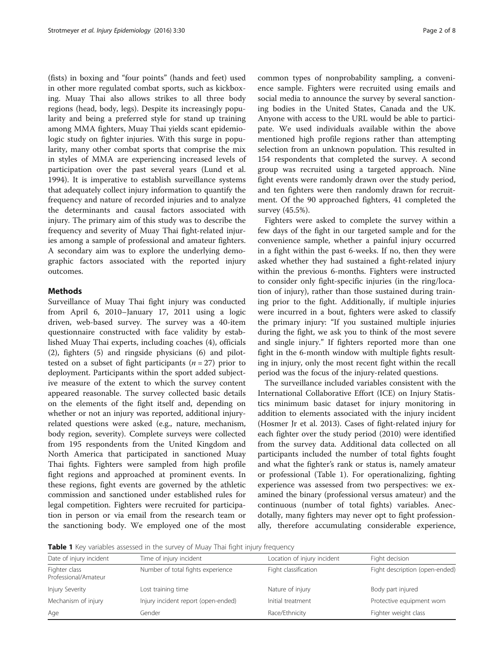(fists) in boxing and "four points" (hands and feet) used in other more regulated combat sports, such as kickboxing. Muay Thai also allows strikes to all three body regions (head, body, legs). Despite its increasingly popularity and being a preferred style for stand up training among MMA fighters, Muay Thai yields scant epidemiologic study on fighter injuries. With this surge in popularity, many other combat sports that comprise the mix in styles of MMA are experiencing increased levels of participation over the past several years (Lund et al. [1994](#page-7-0)). It is imperative to establish surveillance systems that adequately collect injury information to quantify the frequency and nature of recorded injuries and to analyze the determinants and causal factors associated with injury. The primary aim of this study was to describe the frequency and severity of Muay Thai fight-related injuries among a sample of professional and amateur fighters. A secondary aim was to explore the underlying demographic factors associated with the reported injury outcomes.

## **Methods**

Surveillance of Muay Thai fight injury was conducted from April 6, 2010–January 17, 2011 using a logic driven, web-based survey. The survey was a 40-item questionnaire constructed with face validity by established Muay Thai experts, including coaches (4), officials (2), fighters (5) and ringside physicians (6) and pilottested on a subset of fight participants ( $n = 27$ ) prior to deployment. Participants within the sport added subjective measure of the extent to which the survey content appeared reasonable. The survey collected basic details on the elements of the fight itself and, depending on whether or not an injury was reported, additional injuryrelated questions were asked (e.g., nature, mechanism, body region, severity). Complete surveys were collected from 195 respondents from the United Kingdom and North America that participated in sanctioned Muay Thai fights. Fighters were sampled from high profile fight regions and approached at prominent events. In these regions, fight events are governed by the athletic commission and sanctioned under established rules for legal competition. Fighters were recruited for participation in person or via email from the research team or the sanctioning body. We employed one of the most common types of nonprobability sampling, a convenience sample. Fighters were recruited using emails and social media to announce the survey by several sanctioning bodies in the United States, Canada and the UK. Anyone with access to the URL would be able to participate. We used individuals available within the above mentioned high profile regions rather than attempting selection from an unknown population. This resulted in 154 respondents that completed the survey. A second group was recruited using a targeted approach. Nine fight events were randomly drawn over the study period, and ten fighters were then randomly drawn for recruitment. Of the 90 approached fighters, 41 completed the survey (45.5%).

Fighters were asked to complete the survey within a few days of the fight in our targeted sample and for the convenience sample, whether a painful injury occurred in a fight within the past 6-weeks. If no, then they were asked whether they had sustained a fight-related injury within the previous 6-months. Fighters were instructed to consider only fight-specific injuries (in the ring/location of injury), rather than those sustained during training prior to the fight. Additionally, if multiple injuries were incurred in a bout, fighters were asked to classify the primary injury: "If you sustained multiple injuries during the fight, we ask you to think of the most severe and single injury." If fighters reported more than one fight in the 6-month window with multiple fights resulting in injury, only the most recent fight within the recall period was the focus of the injury-related questions.

The surveillance included variables consistent with the International Collaborative Effort (ICE) on Injury Statistics minimum basic dataset for injury monitoring in addition to elements associated with the injury incident (Hosmer Jr et al. [2013](#page-7-0)). Cases of fight-related injury for each fighter over the study period (2010) were identified from the survey data. Additional data collected on all participants included the number of total fights fought and what the fighter's rank or status is, namely amateur or professional (Table 1). For operationalizing, fighting experience was assessed from two perspectives: we examined the binary (professional versus amateur) and the continuous (number of total fights) variables. Anecdotally, many fighters may never opt to fight professionally, therefore accumulating considerable experience,

**Table 1** Key variables assessed in the survey of Muay Thai fight injury frequency

| Date of injury incident               | Time of injury incident             | Location of injury incident | Fight decision                 |
|---------------------------------------|-------------------------------------|-----------------------------|--------------------------------|
| Fighter class<br>Professional/Amateur | Number of total fights experience   | Fight classification        | Fight description (open-ended) |
| Injury Severity                       | Lost training time                  | Nature of injury            | Body part injured              |
| Mechanism of injury                   | Injury incident report (open-ended) | Initial treatment           | Protective equipment worn      |
| Age                                   | Gender                              | Race/Ethnicity              | Fighter weight class           |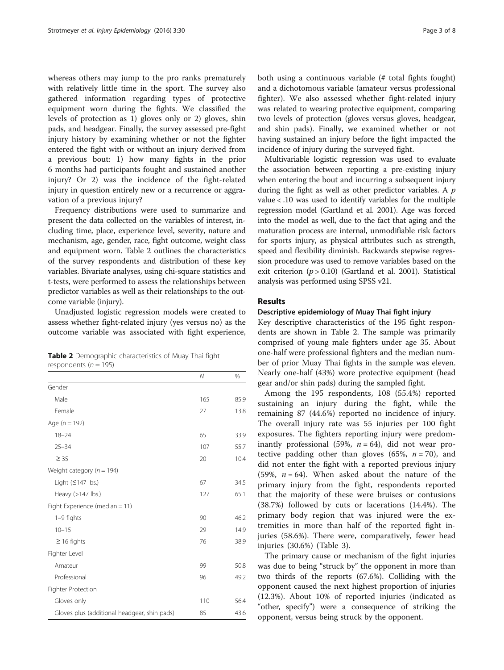whereas others may jump to the pro ranks prematurely with relatively little time in the sport. The survey also gathered information regarding types of protective equipment worn during the fights. We classified the levels of protection as 1) gloves only or 2) gloves, shin pads, and headgear. Finally, the survey assessed pre-fight injury history by examining whether or not the fighter entered the fight with or without an injury derived from a previous bout: 1) how many fights in the prior 6 months had participants fought and sustained another injury? Or 2) was the incidence of the fight-related injury in question entirely new or a recurrence or aggravation of a previous injury?

Frequency distributions were used to summarize and present the data collected on the variables of interest, including time, place, experience level, severity, nature and mechanism, age, gender, race, fight outcome, weight class and equipment worn. Table 2 outlines the characteristics of the survey respondents and distribution of these key variables. Bivariate analyses, using chi-square statistics and t-tests, were performed to assess the relationships between predictor variables as well as their relationships to the outcome variable (injury).

Unadjusted logistic regression models were created to assess whether fight-related injury (yes versus no) as the outcome variable was associated with fight experience,

Table 2 Demographic characteristics of Muay Thai fight respondents ( $n = 195$ )

|                                              | Ν   | %    |
|----------------------------------------------|-----|------|
| Gender                                       |     |      |
| Male                                         | 165 | 85.9 |
| Female                                       | 27  | 13.8 |
| Age ( $n = 192$ )                            |     |      |
| $18 - 24$                                    | 65  | 33.9 |
| $25 - 34$                                    | 107 | 55.7 |
| $\geq 35$                                    | 20  | 10.4 |
| Weight category ( $n = 194$ )                |     |      |
| Light (≤147 lbs.)                            | 67  | 34.5 |
| Heavy (>147 lbs.)                            | 127 | 65.1 |
| Fight Experience (median = 11)               |     |      |
| $1-9$ fights                                 | 90  | 46.2 |
| $10 - 15$                                    | 29  | 14.9 |
| $\geq$ 16 fights                             | 76  | 38.9 |
| Fighter Level                                |     |      |
| Amateur                                      | 99  | 50.8 |
| Professional                                 | 96  | 49.2 |
| Fighter Protection                           |     |      |
| Gloves only                                  | 110 | 56.4 |
| Gloves plus (additional headgear, shin pads) | 85  | 43.6 |

both using a continuous variable (# total fights fought) and a dichotomous variable (amateur versus professional fighter). We also assessed whether fight-related injury was related to wearing protective equipment, comparing two levels of protection (gloves versus gloves, headgear, and shin pads). Finally, we examined whether or not having sustained an injury before the fight impacted the incidence of injury during the surveyed fight.

Multivariable logistic regression was used to evaluate the association between reporting a pre-existing injury when entering the bout and incurring a subsequent injury during the fight as well as other predictor variables. A  $p$ value < .10 was used to identify variables for the multiple regression model (Gartland et al. [2001](#page-7-0)). Age was forced into the model as well, due to the fact that aging and the maturation process are internal, unmodifiable risk factors for sports injury, as physical attributes such as strength, speed and flexibility diminish. Backwards stepwise regression procedure was used to remove variables based on the exit criterion  $(p > 0.10)$  (Gartland et al. [2001\)](#page-7-0). Statistical analysis was performed using SPSS v21.

### Results

### Descriptive epidemiology of Muay Thai fight injury

Key descriptive characteristics of the 195 fight respondents are shown in Table 2. The sample was primarily comprised of young male fighters under age 35. About one-half were professional fighters and the median number of prior Muay Thai fights in the sample was eleven. Nearly one-half (43%) wore protective equipment (head gear and/or shin pads) during the sampled fight.

Among the 195 respondents, 108 (55.4%) reported sustaining an injury during the fight, while the remaining 87 (44.6%) reported no incidence of injury. The overall injury rate was 55 injuries per 100 fight exposures. The fighters reporting injury were predominantly professional (59%,  $n = 64$ ), did not wear protective padding other than gloves (65%,  $n = 70$ ), and did not enter the fight with a reported previous injury (59%,  $n = 64$ ). When asked about the nature of the primary injury from the fight, respondents reported that the majority of these were bruises or contusions (38.7%) followed by cuts or lacerations (14.4%). The primary body region that was injured were the extremities in more than half of the reported fight injuries (58.6%). There were, comparatively, fewer head injuries (30.6%) (Table [3\)](#page-3-0).

The primary cause or mechanism of the fight injuries was due to being "struck by" the opponent in more than two thirds of the reports (67.6%). Colliding with the opponent caused the next highest proportion of injuries (12.3%). About 10% of reported injuries (indicated as "other, specify") were a consequence of striking the opponent, versus being struck by the opponent.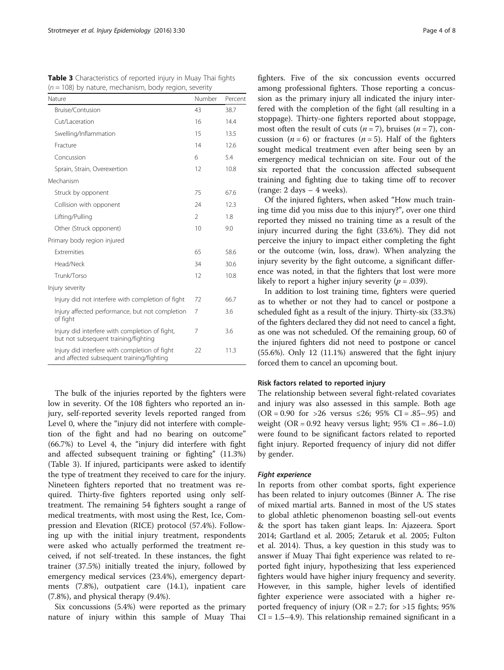<span id="page-3-0"></span>

| Table 3 Characteristics of reported injury in Muay Thai fights |  |
|----------------------------------------------------------------|--|
| $(n = 108)$ by nature, mechanism, body region, severity        |  |

| Nature                                                                                     | Number         | Percent |
|--------------------------------------------------------------------------------------------|----------------|---------|
| Bruise/Contusion                                                                           | 43             | 38.7    |
| Cut/Laceration                                                                             | 16             | 14.4    |
| Swelling/Inflammation                                                                      | 15             | 13.5    |
| Fracture                                                                                   | 14             | 12.6    |
| Concussion                                                                                 | 6              | 5.4     |
| Sprain, Strain, Overexertion                                                               | 12             | 10.8    |
| Mechanism                                                                                  |                |         |
| Struck by opponent                                                                         | 75             | 67.6    |
| Collision with opponent                                                                    | 24             | 12.3    |
| Lifting/Pulling                                                                            | $\mathfrak{D}$ | 1.8     |
| Other (Struck opponent)                                                                    | 10             | 9.0     |
| Primary body region injured                                                                |                |         |
| <b>Extremities</b>                                                                         | 65             | 58.6    |
| Head/Neck                                                                                  | 34             | 30.6    |
| Trunk/Torso                                                                                | 12             | 10.8    |
| Injury severity                                                                            |                |         |
| Injury did not interfere with completion of fight                                          | 72             | 66.7    |
| Injury affected performance, but not completion<br>of fight                                | 7              | 3.6     |
| Injury did interfere with completion of fight,<br>but not subsequent training/fighting     | 7              | 3.6     |
| Injury did interfere with completion of fight<br>and affected subsequent training/fighting | 22             | 11.3    |

The bulk of the injuries reported by the fighters were low in severity. Of the 108 fighters who reported an injury, self-reported severity levels reported ranged from Level 0, where the "injury did not interfere with completion of the fight and had no bearing on outcome" (66.7%) to Level 4, the "injury did interfere with fight and affected subsequent training or fighting" (11.3%) (Table 3). If injured, participants were asked to identify the type of treatment they received to care for the injury. Nineteen fighters reported that no treatment was required. Thirty-five fighters reported using only selftreatment. The remaining 54 fighters sought a range of medical treatments, with most using the Rest, Ice, Compression and Elevation (RICE) protocol (57.4%). Following up with the initial injury treatment, respondents were asked who actually performed the treatment received, if not self-treated. In these instances, the fight trainer (37.5%) initially treated the injury, followed by emergency medical services (23.4%), emergency departments (7.8%), outpatient care (14.1), inpatient care (7.8%), and physical therapy (9.4%).

Six concussions (5.4%) were reported as the primary nature of injury within this sample of Muay Thai

fighters. Five of the six concussion events occurred among professional fighters. Those reporting a concussion as the primary injury all indicated the injury interfered with the completion of the fight (all resulting in a stoppage). Thirty-one fighters reported about stoppage, most often the result of cuts ( $n = 7$ ), bruises ( $n = 7$ ), concussion ( $n = 6$ ) or fractures ( $n = 5$ ). Half of the fighters sought medical treatment even after being seen by an emergency medical technician on site. Four out of the six reported that the concussion affected subsequent training and fighting due to taking time off to recover (range: 2 days – 4 weeks).

Of the injured fighters, when asked "How much training time did you miss due to this injury?", over one third reported they missed no training time as a result of the injury incurred during the fight (33.6%). They did not perceive the injury to impact either completing the fight or the outcome (win, loss, draw). When analyzing the injury severity by the fight outcome, a significant difference was noted, in that the fighters that lost were more likely to report a higher injury severity ( $p = .039$ ).

In addition to lost training time, fighters were queried as to whether or not they had to cancel or postpone a scheduled fight as a result of the injury. Thirty-six (33.3%) of the fighters declared they did not need to cancel a fight, as one was not scheduled. Of the remaining group, 60 of the injured fighters did not need to postpone or cancel  $(55.6\%)$ . Only 12  $(11.1\%)$  answered that the fight injury forced them to cancel an upcoming bout.

#### Risk factors related to reported injury

The relationship between several fight-related covariates and injury was also assessed in this sample. Both age (OR = 0.90 for >26 versus ≤26; 95% CI = .85–.95) and weight  $(OR = 0.92$  heavy versus light; 95%  $CI = .86-1.0$ ) were found to be significant factors related to reported fight injury. Reported frequency of injury did not differ by gender.

In reports from other combat sports, fight experience has been related to injury outcomes (Binner A. The rise of mixed martial arts. Banned in most of the US states to global athletic phenomenon boasting sell-out events & the sport has taken giant leaps. In: Ajazeera. Sport [2014](#page-7-0); Gartland et al. [2005;](#page-7-0) Zetaruk et al. [2005](#page-7-0); Fulton et al. [2014\)](#page-7-0). Thus, a key question in this study was to answer if Muay Thai fight experience was related to reported fight injury, hypothesizing that less experienced fighters would have higher injury frequency and severity. However, in this sample, higher levels of identified fighter experience were associated with a higher reported frequency of injury ( $OR = 2.7$ ; for  $>15$  fights; 95%  $CI = 1.5-4.9$ . This relationship remained significant in a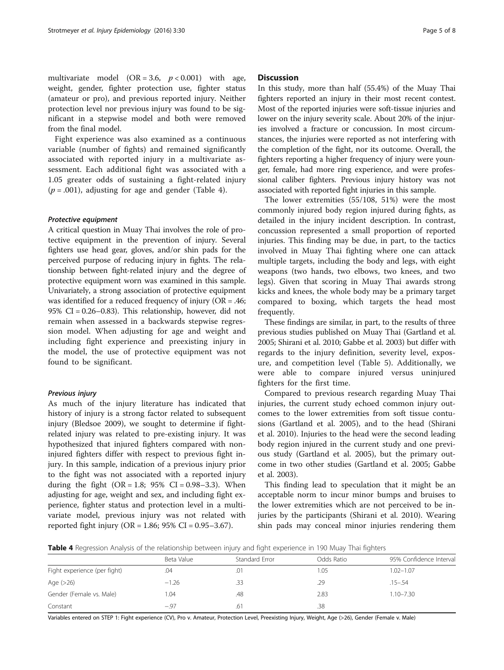multivariate model  $(OR = 3.6, p < 0.001)$  with age, weight, gender, fighter protection use, fighter status (amateur or pro), and previous reported injury. Neither protection level nor previous injury was found to be significant in a stepwise model and both were removed from the final model.

Fight experience was also examined as a continuous variable (number of fights) and remained significantly associated with reported injury in a multivariate assessment. Each additional fight was associated with a 1.05 greater odds of sustaining a fight-related injury  $(p=.001)$ , adjusting for age and gender (Table 4).

A critical question in Muay Thai involves the role of protective equipment in the prevention of injury. Several fighters use head gear, gloves, and/or shin pads for the perceived purpose of reducing injury in fights. The relationship between fight-related injury and the degree of protective equipment worn was examined in this sample. Univariately, a strong association of protective equipment was identified for a reduced frequency of injury (OR = .46; 95% CI = 0.26–0.83). This relationship, however, did not remain when assessed in a backwards stepwise regression model. When adjusting for age and weight and including fight experience and preexisting injury in the model, the use of protective equipment was not found to be significant.

As much of the injury literature has indicated that history of injury is a strong factor related to subsequent injury (Bledsoe [2009](#page-7-0)), we sought to determine if fightrelated injury was related to pre-existing injury. It was hypothesized that injured fighters compared with noninjured fighters differ with respect to previous fight injury. In this sample, indication of a previous injury prior to the fight was not associated with a reported injury during the fight  $(OR = 1.8; 95\% \text{ CI} = 0.98-3.3)$ . When adjusting for age, weight and sex, and including fight experience, fighter status and protection level in a multivariate model, previous injury was not related with reported fight injury (OR = 1.86; 95% CI = 0.95–3.67).

### **Discussion**

In this study, more than half (55.4%) of the Muay Thai fighters reported an injury in their most recent contest. Most of the reported injuries were soft-tissue injuries and lower on the injury severity scale. About 20% of the injuries involved a fracture or concussion. In most circumstances, the injuries were reported as not interfering with the completion of the fight, nor its outcome. Overall, the fighters reporting a higher frequency of injury were younger, female, had more ring experience, and were professional caliber fighters. Previous injury history was not associated with reported fight injuries in this sample.

The lower extremities (55/108, 51%) were the most commonly injured body region injured during fights, as detailed in the injury incident description. In contrast, concussion represented a small proportion of reported injuries. This finding may be due, in part, to the tactics involved in Muay Thai fighting where one can attack multiple targets, including the body and legs, with eight weapons (two hands, two elbows, two knees, and two legs). Given that scoring in Muay Thai awards strong kicks and knees, the whole body may be a primary target compared to boxing, which targets the head most frequently.

These findings are similar, in part, to the results of three previous studies published on Muay Thai (Gartland et al. [2005](#page-7-0); Shirani et al. [2010;](#page-7-0) Gabbe et al. [2003](#page-7-0)) but differ with regards to the injury definition, severity level, exposure, and competition level (Table [5](#page-5-0)). Additionally, we were able to compare injured versus uninjured fighters for the first time.

Compared to previous research regarding Muay Thai injuries, the current study echoed common injury outcomes to the lower extremities from soft tissue contusions (Gartland et al. [2005\)](#page-7-0), and to the head (Shirani et al. [2010](#page-7-0)). Injuries to the head were the second leading body region injured in the current study and one previous study (Gartland et al. [2005](#page-7-0)), but the primary outcome in two other studies (Gartland et al. [2005](#page-7-0); Gabbe et al. [2003\)](#page-7-0).

This finding lead to speculation that it might be an acceptable norm to incur minor bumps and bruises to the lower extremities which are not perceived to be injuries by the participants (Shirani et al. [2010](#page-7-0)). Wearing shin pads may conceal minor injuries rendering them

Table 4 Regression Analysis of the relationship between injury and fight experience in 190 Muay Thai fighters

|                              | Beta Value | Standard Error | Odds Ratio | 95% Confidence Interval |
|------------------------------|------------|----------------|------------|-------------------------|
| Fight experience (per fight) | .04        | .01            | 1.05       | $1.02 - 1.07$           |
| Age $(>26)$                  | $-1.26$    | .33            | .29        | $.15 - .54$             |
| Gender (Female vs. Male)     | 1.04       | .48            | 2.83       | $1.10 - 7.30$           |
| Constant                     | $-.97$     | .61            | .38        |                         |

Variables entered on STEP 1: Fight experience (CV), Pro v. Amateur, Protection Level, Preexisting Injury, Weight, Age (>26), Gender (Female v. Male)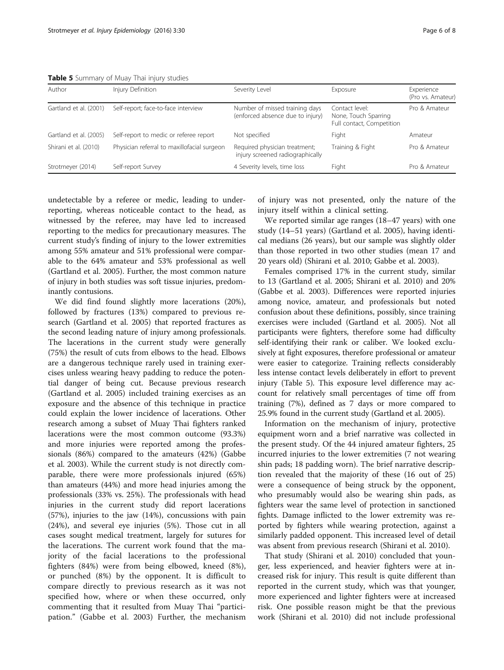<span id="page-5-0"></span>Table 5 Summary of Muay Thai injury studies

| Author                 | Injury Definition                           | Severity Level                                                     | Exposure                                                            | Experience<br>(Pro vs. Amateur) |
|------------------------|---------------------------------------------|--------------------------------------------------------------------|---------------------------------------------------------------------|---------------------------------|
| Gartland et al. (2001) | Self-report; face-to-face interview         | Number of missed training days<br>(enforced absence due to injury) | Contact level:<br>None, Touch Sparring<br>Full contact, Competition | Pro & Amateur                   |
| Gartland et al. (2005) | Self-report to medic or referee report      | Not specified                                                      | Fight                                                               | Amateur                         |
| Shirani et al. (2010)  | Physician referral to maxillofacial surgeon | Required physician treatment;<br>injury screened radiographically  | Training & Fight                                                    | Pro & Amateur                   |
| Strotmeyer (2014)      | Self-report Survey                          | 4 Severity levels, time loss                                       | Fight                                                               | Pro & Amateur                   |

undetectable by a referee or medic, leading to underreporting, whereas noticeable contact to the head, as witnessed by the referee, may have led to increased reporting to the medics for precautionary measures. The current study's finding of injury to the lower extremities among 55% amateur and 51% professional were comparable to the 64% amateur and 53% professional as well (Gartland et al. [2005\)](#page-7-0). Further, the most common nature of injury in both studies was soft tissue injuries, predominantly contusions.

We did find found slightly more lacerations (20%), followed by fractures (13%) compared to previous research (Gartland et al. [2005](#page-7-0)) that reported fractures as the second leading nature of injury among professionals. The lacerations in the current study were generally (75%) the result of cuts from elbows to the head. Elbows are a dangerous technique rarely used in training exercises unless wearing heavy padding to reduce the potential danger of being cut. Because previous research (Gartland et al. [2005\)](#page-7-0) included training exercises as an exposure and the absence of this technique in practice could explain the lower incidence of lacerations. Other research among a subset of Muay Thai fighters ranked lacerations were the most common outcome (93.3%) and more injuries were reported among the professionals (86%) compared to the amateurs (42%) (Gabbe et al. [2003](#page-7-0)). While the current study is not directly comparable, there were more professionals injured (65%) than amateurs (44%) and more head injuries among the professionals (33% vs. 25%). The professionals with head injuries in the current study did report lacerations (57%), injuries to the jaw (14%), concussions with pain (24%), and several eye injuries (5%). Those cut in all cases sought medical treatment, largely for sutures for the lacerations. The current work found that the majority of the facial lacerations to the professional fighters (84%) were from being elbowed, kneed (8%), or punched (8%) by the opponent. It is difficult to compare directly to previous research as it was not specified how, where or when these occurred, only commenting that it resulted from Muay Thai "participation." (Gabbe et al. [2003\)](#page-7-0) Further, the mechanism

of injury was not presented, only the nature of the injury itself within a clinical setting.

We reported similar age ranges (18–47 years) with one study (14–51 years) (Gartland et al. [2005](#page-7-0)), having identical medians (26 years), but our sample was slightly older than those reported in two other studies (mean 17 and 20 years old) (Shirani et al. [2010](#page-7-0); Gabbe et al. [2003\)](#page-7-0).

Females comprised 17% in the current study, similar to 13 (Gartland et al. [2005;](#page-7-0) Shirani et al. [2010\)](#page-7-0) and 20% (Gabbe et al. [2003](#page-7-0)). Differences were reported injuries among novice, amateur, and professionals but noted confusion about these definitions, possibly, since training exercises were included (Gartland et al. [2005](#page-7-0)). Not all participants were fighters, therefore some had difficulty self-identifying their rank or caliber. We looked exclusively at fight exposures, therefore professional or amateur were easier to categorize. Training reflects considerably less intense contact levels deliberately in effort to prevent injury (Table 5). This exposure level difference may account for relatively small percentages of time off from training (7%), defined as 7 days or more compared to 25.9% found in the current study (Gartland et al. [2005\)](#page-7-0).

Information on the mechanism of injury, protective equipment worn and a brief narrative was collected in the present study. Of the 44 injured amateur fighters, 25 incurred injuries to the lower extremities (7 not wearing shin pads; 18 padding worn). The brief narrative description revealed that the majority of these (16 out of 25) were a consequence of being struck by the opponent, who presumably would also be wearing shin pads, as fighters wear the same level of protection in sanctioned fights. Damage inflicted to the lower extremity was reported by fighters while wearing protection, against a similarly padded opponent. This increased level of detail was absent from previous research (Shirani et al. [2010\)](#page-7-0).

That study (Shirani et al. [2010\)](#page-7-0) concluded that younger, less experienced, and heavier fighters were at increased risk for injury. This result is quite different than reported in the current study, which was that younger, more experienced and lighter fighters were at increased risk. One possible reason might be that the previous work (Shirani et al. [2010\)](#page-7-0) did not include professional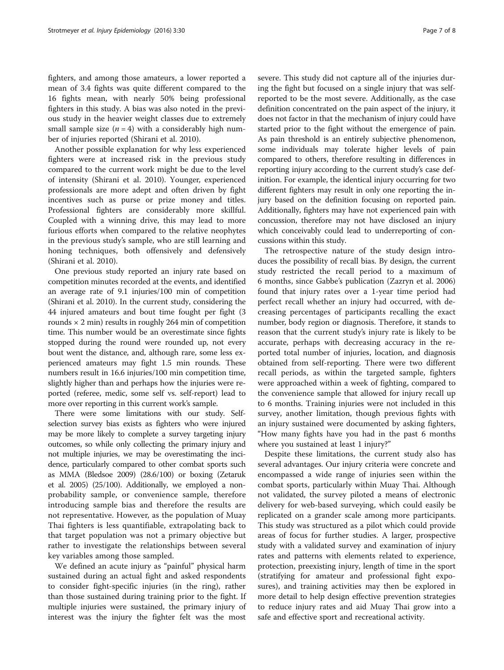fighters, and among those amateurs, a lower reported a mean of 3.4 fights was quite different compared to the 16 fights mean, with nearly 50% being professional fighters in this study. A bias was also noted in the previous study in the heavier weight classes due to extremely small sample size  $(n = 4)$  with a considerably high number of injuries reported (Shirani et al. [2010\)](#page-7-0).

Another possible explanation for why less experienced fighters were at increased risk in the previous study compared to the current work might be due to the level of intensity (Shirani et al. [2010\)](#page-7-0). Younger, experienced professionals are more adept and often driven by fight incentives such as purse or prize money and titles. Professional fighters are considerably more skillful. Coupled with a winning drive, this may lead to more furious efforts when compared to the relative neophytes in the previous study's sample, who are still learning and honing techniques, both offensively and defensively (Shirani et al. [2010\)](#page-7-0).

One previous study reported an injury rate based on competition minutes recorded at the events, and identified an average rate of 9.1 injuries/100 min of competition (Shirani et al. [2010](#page-7-0)). In the current study, considering the 44 injured amateurs and bout time fought per fight (3 rounds  $\times$  2 min) results in roughly 264 min of competition time. This number would be an overestimate since fights stopped during the round were rounded up, not every bout went the distance, and, although rare, some less experienced amateurs may fight 1.5 min rounds. These numbers result in 16.6 injuries/100 min competition time, slightly higher than and perhaps how the injuries were reported (referee, medic, some self vs. self-report) lead to more over reporting in this current work's sample.

There were some limitations with our study. Selfselection survey bias exists as fighters who were injured may be more likely to complete a survey targeting injury outcomes, so while only collecting the primary injury and not multiple injuries, we may be overestimating the incidence, particularly compared to other combat sports such as MMA (Bledsoe [2009](#page-7-0)) (28.6/100) or boxing (Zetaruk et al. [2005](#page-7-0)) (25/100). Additionally, we employed a nonprobability sample, or convenience sample, therefore introducing sample bias and therefore the results are not representative. However, as the population of Muay Thai fighters is less quantifiable, extrapolating back to that target population was not a primary objective but rather to investigate the relationships between several key variables among those sampled.

We defined an acute injury as "painful" physical harm sustained during an actual fight and asked respondents to consider fight-specific injuries (in the ring), rather than those sustained during training prior to the fight. If multiple injuries were sustained, the primary injury of interest was the injury the fighter felt was the most severe. This study did not capture all of the injuries during the fight but focused on a single injury that was selfreported to be the most severe. Additionally, as the case definition concentrated on the pain aspect of the injury, it does not factor in that the mechanism of injury could have started prior to the fight without the emergence of pain. As pain threshold is an entirely subjective phenomenon, some individuals may tolerate higher levels of pain compared to others, therefore resulting in differences in reporting injury according to the current study's case definition. For example, the identical injury occurring for two different fighters may result in only one reporting the injury based on the definition focusing on reported pain. Additionally, fighters may have not experienced pain with concussion, therefore may not have disclosed an injury which conceivably could lead to underreporting of concussions within this study.

The retrospective nature of the study design introduces the possibility of recall bias. By design, the current study restricted the recall period to a maximum of 6 months, since Gabbe's publication (Zazryn et al. [2006](#page-7-0)) found that injury rates over a 1-year time period had perfect recall whether an injury had occurred, with decreasing percentages of participants recalling the exact number, body region or diagnosis. Therefore, it stands to reason that the current study's injury rate is likely to be accurate, perhaps with decreasing accuracy in the reported total number of injuries, location, and diagnosis obtained from self-reporting. There were two different recall periods, as within the targeted sample, fighters were approached within a week of fighting, compared to the convenience sample that allowed for injury recall up to 6 months. Training injuries were not included in this survey, another limitation, though previous fights with an injury sustained were documented by asking fighters, "How many fights have you had in the past 6 months where you sustained at least 1 injury?"

Despite these limitations, the current study also has several advantages. Our injury criteria were concrete and encompassed a wide range of injuries seen within the combat sports, particularly within Muay Thai. Although not validated, the survey piloted a means of electronic delivery for web-based surveying, which could easily be replicated on a grander scale among more participants. This study was structured as a pilot which could provide areas of focus for further studies. A larger, prospective study with a validated survey and examination of injury rates and patterns with elements related to experience, protection, preexisting injury, length of time in the sport (stratifying for amateur and professional fight exposures), and training activities may then be explored in more detail to help design effective prevention strategies to reduce injury rates and aid Muay Thai grow into a safe and effective sport and recreational activity.